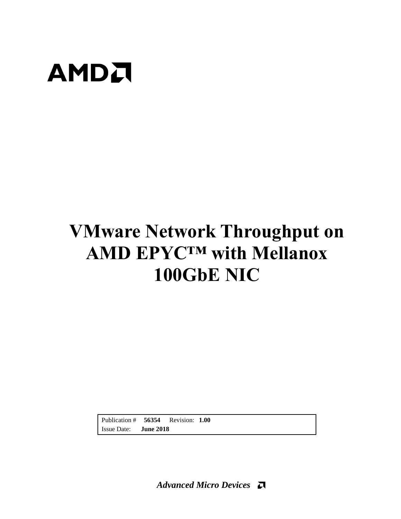

# **VMware Network Throughput on AMD EPYC™ with Mellanox 100GbE NIC**

Publication # **56354** Revision: **1.00** Issue Date: **June 2018**

*Advanced Micro Devices*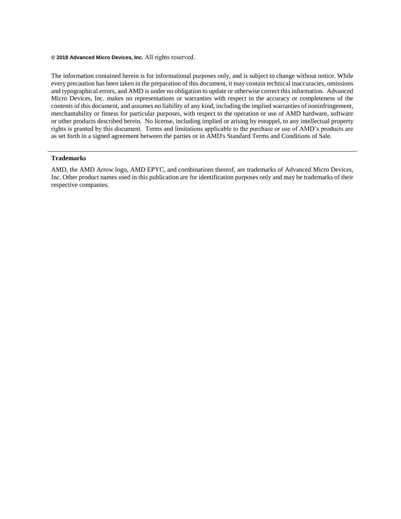#### **© 2018 Advanced Micro Devices, Inc.** All rights reserved.

The information contained herein is for informational purposes only, and is subject to change without notice. While every precaution has been taken in the preparation of this document, it may contain technical inaccuracies, omissions and typographical errors, and AMD is under no obligation to update or otherwise correct this information. Advanced Micro Devices, Inc. makes no representations or warranties with respect to the accuracy or completeness of the contents of this document, and assumes no liability of any kind, including the implied warranties of noninfringement, merchantability or fitness for particular purposes, with respect to the operation or use of AMD hardware, software or other products described herein. No license, including implied or arising by estoppel, to any intellectual property rights is granted by this document. Terms and limitations applicable to the purchase or use of AMD's products are as set forth in a signed agreement between the parties or in AMD's Standard Terms and Conditions of Sale.

#### **Trademarks**

AMD, the AMD Arrow logo, AMD EPYC, and combinations thereof, are trademarks of Advanced Micro Devices, Inc. Other product names used in this publication are for identification purposes only and may be trademarks of their respective companies.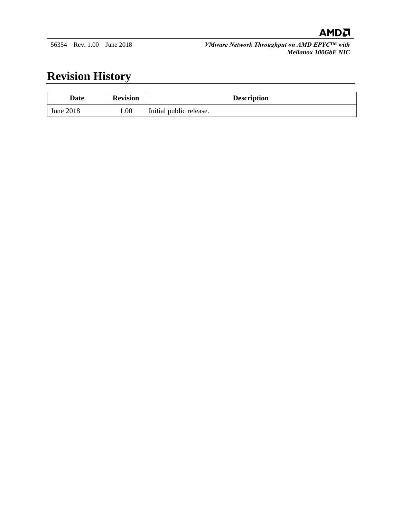

56354 Rev. 1.00 June 2018 *VMware Network Throughput on AMD EPYC™ with Mellanox 100GbE NIC*

# **Revision History**

| Date      | <b>Revision</b> | <b>Description</b>      |
|-----------|-----------------|-------------------------|
| June 2018 | 0.00            | Initial public release. |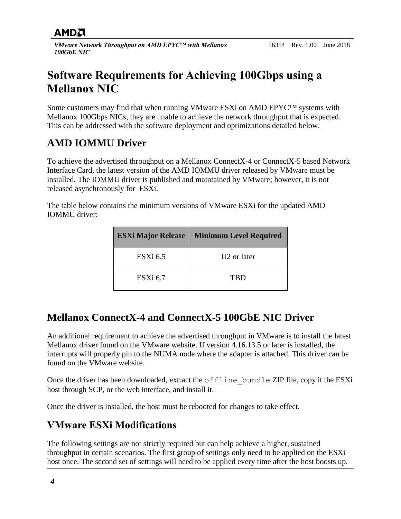# **AMDA**

*VMware Network Throughput on AMD EPYC™ with Mellanox 100GbE NIC*

# **Software Requirements for Achieving 100Gbps using a Mellanox NIC**

Some customers may find that when running VMware ESXi on AMD EPYC™ systems with Mellanox 100Gbps NICs, they are unable to achieve the network throughput that is expected. This can be addressed with the software deployment and optimizations detailed below.

# **AMD IOMMU Driver**

To achieve the advertised throughput on a Mellanox ConnectX-4 or ConnectX-5 based Network Interface Card, the latest version of the AMD IOMMU driver released by VMware must be installed. The IOMMU driver is published and maintained by VMware; however, it is not released asynchronously for ESXi.

The table below contains the minimum versions of VMware ESXi for the updated AMD IOMMU driver:

| <b>ESXi Major Release</b> | <b>Minimum Level Required</b> |
|---------------------------|-------------------------------|
| $ESXi$ 6.5                | U <sub>2</sub> or later       |
| $ESXi$ 6.7                | TRD                           |

### **Mellanox ConnectX-4 and ConnectX-5 100GbE NIC Driver**

An additional requirement to achieve the advertised throughput in VMware is to install the latest Mellanox driver found on the VMware website. If version 4.16.13.5 or later is installed, the interrupts will properly pin to the NUMA node where the adapter is attached. This driver can be found on the VMware website.

Once the driver has been downloaded, extract the offline bundle ZIP file, copy it the ESXi host through SCP, or the web interface, and install it.

Once the driver is installed, the host must be rebooted for changes to take effect.

### **VMware ESXi Modifications**

The following settings are not strictly required but can help achieve a higher, sustained throughput in certain scenarios. The first group of settings only need to be applied on the ESXi host once. The second set of settings will need to be applied every time after the host boosts up.